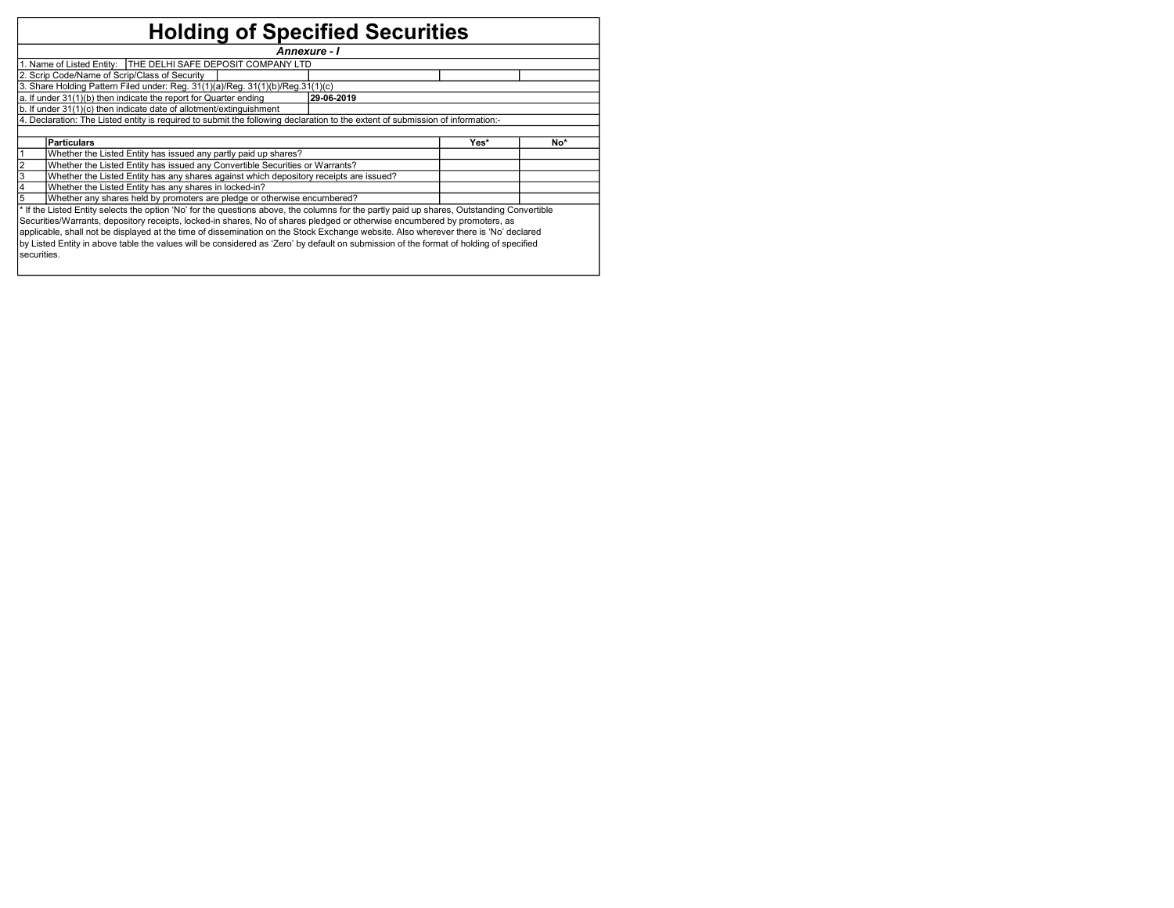## Holding of Specified Securities

|                                                                                |                                                                                                                                                                                                                                                                                                                                                                                                                                                                                                                                                                         | Annexure - I |  |  |  |  |  |  |  |  |  |  |
|--------------------------------------------------------------------------------|-------------------------------------------------------------------------------------------------------------------------------------------------------------------------------------------------------------------------------------------------------------------------------------------------------------------------------------------------------------------------------------------------------------------------------------------------------------------------------------------------------------------------------------------------------------------------|--------------|--|--|--|--|--|--|--|--|--|--|
|                                                                                | 1. Name of Listed Entity:   THE DELHI SAFE DEPOSIT COMPANY LTD                                                                                                                                                                                                                                                                                                                                                                                                                                                                                                          |              |  |  |  |  |  |  |  |  |  |  |
|                                                                                | 2. Scrip Code/Name of Scrip/Class of Security                                                                                                                                                                                                                                                                                                                                                                                                                                                                                                                           |              |  |  |  |  |  |  |  |  |  |  |
| 3. Share Holding Pattern Filed under: Reg. 31(1)(a)/Reg. 31(1)(b)/Reg.31(1)(c) |                                                                                                                                                                                                                                                                                                                                                                                                                                                                                                                                                                         |              |  |  |  |  |  |  |  |  |  |  |
| a. If under 31(1)(b) then indicate the report for Quarter ending<br>29-06-2019 |                                                                                                                                                                                                                                                                                                                                                                                                                                                                                                                                                                         |              |  |  |  |  |  |  |  |  |  |  |
| b. If under 31(1)(c) then indicate date of allotment/extinguishment            |                                                                                                                                                                                                                                                                                                                                                                                                                                                                                                                                                                         |              |  |  |  |  |  |  |  |  |  |  |
|                                                                                | 4. Declaration: The Listed entity is required to submit the following declaration to the extent of submission of information:-                                                                                                                                                                                                                                                                                                                                                                                                                                          |              |  |  |  |  |  |  |  |  |  |  |
|                                                                                |                                                                                                                                                                                                                                                                                                                                                                                                                                                                                                                                                                         |              |  |  |  |  |  |  |  |  |  |  |
| <b>Particulars</b><br>Yes*<br>No*                                              |                                                                                                                                                                                                                                                                                                                                                                                                                                                                                                                                                                         |              |  |  |  |  |  |  |  |  |  |  |
| Whether the Listed Entity has issued any partly paid up shares?                |                                                                                                                                                                                                                                                                                                                                                                                                                                                                                                                                                                         |              |  |  |  |  |  |  |  |  |  |  |
| 2                                                                              | Whether the Listed Entity has issued any Convertible Securities or Warrants?                                                                                                                                                                                                                                                                                                                                                                                                                                                                                            |              |  |  |  |  |  |  |  |  |  |  |
| $\overline{\mathbf{3}}$                                                        | Whether the Listed Entity has any shares against which depository receipts are issued?                                                                                                                                                                                                                                                                                                                                                                                                                                                                                  |              |  |  |  |  |  |  |  |  |  |  |
| 4                                                                              | Whether the Listed Entity has any shares in locked-in?                                                                                                                                                                                                                                                                                                                                                                                                                                                                                                                  |              |  |  |  |  |  |  |  |  |  |  |
| 5                                                                              | Whether any shares held by promoters are pledge or otherwise encumbered?                                                                                                                                                                                                                                                                                                                                                                                                                                                                                                |              |  |  |  |  |  |  |  |  |  |  |
|                                                                                |                                                                                                                                                                                                                                                                                                                                                                                                                                                                                                                                                                         |              |  |  |  |  |  |  |  |  |  |  |
|                                                                                | * If the Listed Entity selects the option 'No' for the questions above, the columns for the partly paid up shares, Outstanding Convertible<br>Securities/Warrants, depository receipts, locked-in shares, No of shares pledged or otherwise encumbered by promoters, as<br>applicable, shall not be displayed at the time of dissemination on the Stock Exchange website. Also wherever there is 'No' declared<br>by Listed Entity in above table the values will be considered as 'Zero' by default on submission of the format of holding of specified<br>securities. |              |  |  |  |  |  |  |  |  |  |  |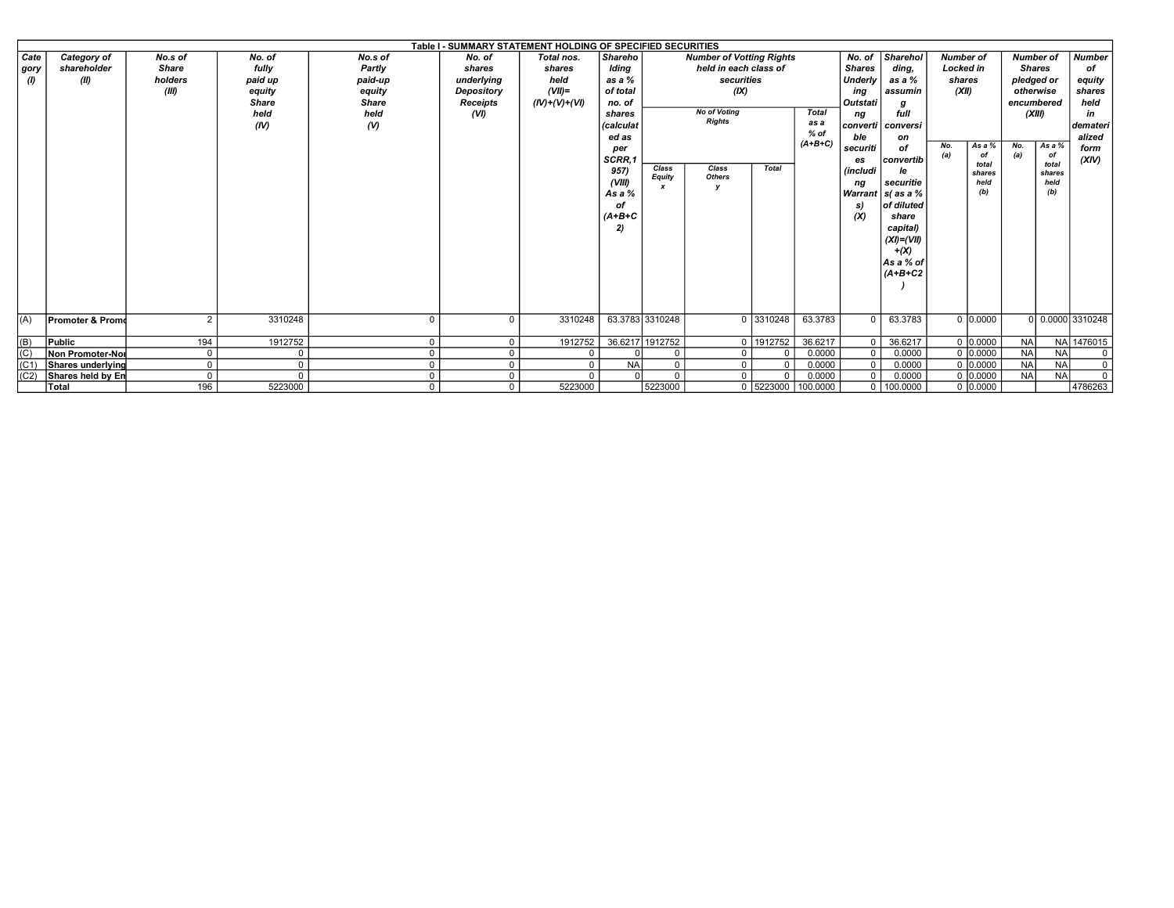|          |                             |               |              |               | Table I - SUMMARY STATEMENT HOLDING OF SPECIFIED SECURITIES |                 |           |                            |                                 |              |              |                 |                     |       |                  |            |                  |                  |
|----------|-----------------------------|---------------|--------------|---------------|-------------------------------------------------------------|-----------------|-----------|----------------------------|---------------------------------|--------------|--------------|-----------------|---------------------|-------|------------------|------------|------------------|------------------|
| Cate     | Category of                 | No.s of       | No. of       | No.s of       | No. of                                                      | Total nos.      | Shareho   |                            | <b>Number of Votting Rights</b> |              |              | No. of          | <b>Sharehol</b>     |       | <b>Number of</b> |            | <b>Number of</b> | <b>Number</b>    |
| gory     | shareholder                 | <b>Share</b>  | fully        | Partly        | shares                                                      | shares          | Iding     |                            | held in each class of           |              |              | <b>Shares</b>   | ding.               |       | <b>Locked in</b> |            | <b>Shares</b>    | of               |
| $\omega$ | (II)                        | holders       | paid up      | paid-up       | underlying                                                  | held            | as a $%$  |                            | securities                      |              |              | Underly         | as a %              |       | shares           | pledged or |                  | equity           |
|          |                             | (III)         | equity       | equity        | Depository                                                  | $(VII)$ =       | of total  |                            | (X)                             |              |              | ing             | assumin             | (XII) |                  |            | otherwise        | shares           |
|          |                             |               | <b>Share</b> | <b>Share</b>  | <b>Receipts</b>                                             | $(IV)+(V)+(VI)$ | no. of    |                            |                                 |              |              | Outstati        |                     |       |                  |            | encumbered       | held             |
|          |                             |               | held         | held          | (VI)                                                        |                 | shares    |                            | <b>No of Voting</b>             |              | <b>Total</b> | nq              | full                |       |                  |            | (XIII)           | in               |
|          |                             |               | (IV)         | $\mathcal{N}$ |                                                             |                 | (calculat |                            | <b>Rights</b>                   |              | as a         |                 | converti   conversi |       |                  |            |                  | demateri         |
|          |                             |               |              |               |                                                             |                 | ed as     |                            |                                 |              | $%$ of       | ble             | on                  |       |                  |            |                  | alized           |
|          |                             |               |              |               |                                                             |                 | per       |                            |                                 |              | $(A+B+C)$    | securiti        | of                  | No.   | As a %           | No.        | As a %           | form             |
|          |                             |               |              |               |                                                             |                 | SCRR,1    |                            |                                 |              |              | es              | convertib           | (a)   | of               | (a)        | of<br>total      | (XIV)            |
|          |                             |               |              |               |                                                             |                 | 957)      | Class                      | Class                           | <b>Total</b> |              | <i>(includi</i> | le                  |       | total<br>shares  |            | shares           |                  |
|          |                             |               |              |               |                                                             |                 | (VIII)    | Equity<br>$\boldsymbol{x}$ | <b>Others</b>                   |              |              | nq              | securitie           |       | held             |            | held             |                  |
|          |                             |               |              |               |                                                             |                 | As a %    |                            |                                 |              |              |                 | Warrant   s( as a % |       | (b)              |            | (b)              |                  |
|          |                             |               |              |               |                                                             |                 | оf        |                            |                                 |              |              | S)              | of diluted          |       |                  |            |                  |                  |
|          |                             |               |              |               |                                                             |                 | $(A+B+C$  |                            |                                 |              |              | (X)             | share               |       |                  |            |                  |                  |
|          |                             |               |              |               |                                                             |                 | 2)        |                            |                                 |              |              |                 | capital)            |       |                  |            |                  |                  |
|          |                             |               |              |               |                                                             |                 |           |                            |                                 |              |              |                 | $(XI)=(VII)$        |       |                  |            |                  |                  |
|          |                             |               |              |               |                                                             |                 |           |                            |                                 |              |              |                 | $+(X)$              |       |                  |            |                  |                  |
|          |                             |               |              |               |                                                             |                 |           |                            |                                 |              |              |                 | As a % of           |       |                  |            |                  |                  |
|          |                             |               |              |               |                                                             |                 |           |                            |                                 |              |              |                 | $(A+B+C2$           |       |                  |            |                  |                  |
|          |                             |               |              |               |                                                             |                 |           |                            |                                 |              |              |                 |                     |       |                  |            |                  |                  |
|          |                             |               |              |               |                                                             |                 |           |                            |                                 |              |              |                 |                     |       |                  |            |                  |                  |
|          |                             |               |              |               |                                                             |                 |           |                            |                                 |              |              |                 |                     |       |                  |            |                  |                  |
| (A)      | <b>Promoter &amp; Promo</b> | $\mathcal{P}$ | 3310248      | $\Omega$      |                                                             | 3310248         |           | 63.3783 3310248            |                                 | 0 3310248    | 63.3783      | $\Omega$        | 63.3783             |       | 0 0.0000         |            |                  | 0 0.0000 3310248 |
|          |                             |               |              |               |                                                             |                 |           |                            |                                 |              |              |                 |                     |       |                  |            |                  |                  |
| (B)      | Public                      | 194           | 1912752      | $\mathbf 0$   |                                                             | 1912752         |           | 36.6217 1912752            |                                 | 0 1912752    | 36.6217      | $\mathbf 0$     | 36.6217             |       | 0 0.0000         | <b>NA</b>  |                  | NA 1476015       |
| (C)      | Non Promoter-Nor            | $\mathbf 0$   | $\mathbf 0$  | $\mathbf 0$   |                                                             |                 |           | $\Omega$                   |                                 | -0           | 0.0000       | $\mathbf 0$     | 0.0000              |       | 0 10,0000        | <b>NA</b>  | <b>NA</b>        | $^{\circ}$       |
| (C1)     | Shares underlyind           | $\Omega$      | $\Omega$     | $\Omega$      |                                                             | $\Omega$        | <b>NA</b> | $\Omega$                   | $\Omega$                        | $\Omega$     | 0.0000       | $\overline{0}$  | 0.0000              |       | 0 0.0000         | <b>NA</b>  | <b>NA</b>        | $\overline{0}$   |
| (C2)     | Shares held by En           | $\mathbf 0$   | $\Omega$     | $\mathbf 0$   |                                                             | $\Omega$        |           | $\Omega$                   |                                 | $\Omega$     | 0.0000       | $\mathbf 0$     | 0.0000              |       | 0 0.0000         | <b>NA</b>  | <b>NA</b>        | $\mathbf 0$      |
|          | Total                       | 196           | 5223000      | $\mathbf{0}$  |                                                             | 5223000         |           | 5223000                    |                                 | 0   5223000  | 100.0000     |                 | $0$ 100.0000        |       | 0 0.0000         |            |                  | 4786263          |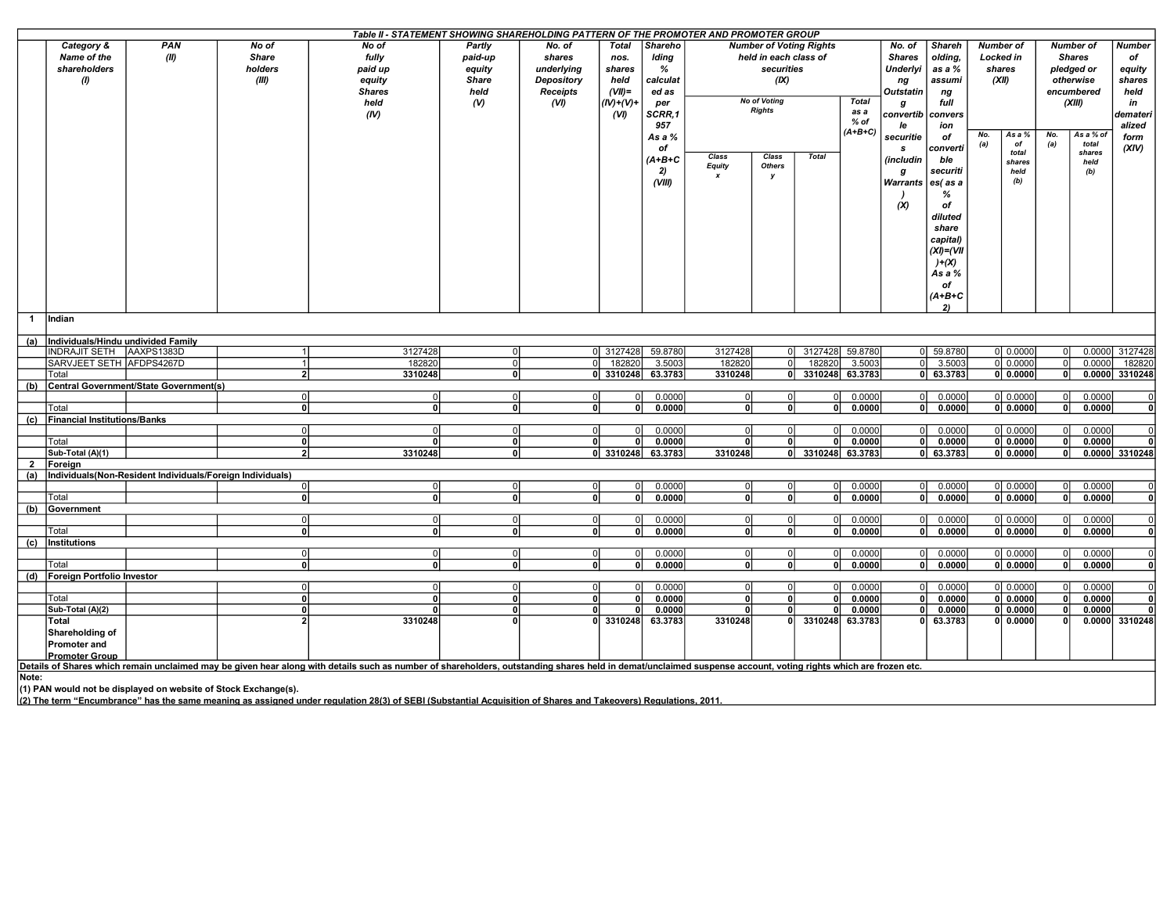|                |                                         |                                                                |                | Table II - STATEMENT SHOWING SHAREHOLDING PATTERN OF THE PROMOTER AND PROMOTER GROUP                                                                                                                           |                                           |                |                   |          |                         |                                |                   |                 |                     |                |                  |              |            |                    |                                  |
|----------------|-----------------------------------------|----------------------------------------------------------------|----------------|----------------------------------------------------------------------------------------------------------------------------------------------------------------------------------------------------------------|-------------------------------------------|----------------|-------------------|----------|-------------------------|--------------------------------|-------------------|-----------------|---------------------|----------------|------------------|--------------|------------|--------------------|----------------------------------|
|                | Category &                              | <b>PAN</b>                                                     | No of          | No of                                                                                                                                                                                                          | Partly                                    | No. of         | <b>Total</b>      | Shareho  |                         | <b>Number of Voting Rights</b> |                   |                 | No. of              | <b>Shareh</b>  | <b>Number of</b> |              |            | <b>Number of</b>   | <b>Number</b>                    |
|                | Name of the                             | (II)                                                           | <b>Share</b>   | fully                                                                                                                                                                                                          | paid-up                                   | shares         | nos.              | Iding    |                         | held in each class of          |                   |                 | <b>Shares</b>       | olding,        | <b>Locked</b> in |              |            | <b>Shares</b>      | of                               |
|                | shareholders                            |                                                                | holders        | paid up                                                                                                                                                                                                        | equity                                    | underlying     | shares            | %        |                         | securities                     |                   |                 | Underlyi            | as a %         | shares           |              |            | pledged or         | equity                           |
|                | $\boldsymbol{\theta}$                   |                                                                | (III)          | equity                                                                                                                                                                                                         | <b>Share</b>                              | Depository     | held              | calculat |                         | (IX)                           |                   |                 | ng                  | assumi         | (XII)            |              |            | otherwise          | shares                           |
|                |                                         |                                                                |                | <b>Shares</b>                                                                                                                                                                                                  | held                                      | Receipts       | $(VII)$ =         | ed as    |                         |                                |                   |                 | Outstatin           | ng             |                  |              | encumbered |                    | held                             |
|                |                                         |                                                                |                | held                                                                                                                                                                                                           | (V)                                       | (VI)           | IV)+(V)+          |          | <b>No of Voting</b>     |                                |                   | <b>Total</b>    |                     | full           |                  |              |            | (XIII)             | in                               |
|                |                                         |                                                                |                |                                                                                                                                                                                                                |                                           |                |                   | per      | <b>Rights</b>           |                                |                   | as a            | g                   |                |                  |              |            |                    |                                  |
|                |                                         |                                                                |                | (IV)                                                                                                                                                                                                           |                                           |                | (VI)              | SCRR,1   |                         |                                |                   | $%$ of          | convertib           | convers        |                  |              |            |                    | demateri                         |
|                |                                         |                                                                |                |                                                                                                                                                                                                                |                                           |                |                   | 957      |                         |                                |                   | $(A+B+C)$       | le                  | ion            |                  |              |            |                    | alized                           |
|                |                                         |                                                                |                |                                                                                                                                                                                                                |                                           |                |                   | As a %   |                         |                                |                   |                 | securitie           | of             | No.<br>(a)       | As a %<br>of | No.<br>(a) | As a % of<br>total | form                             |
|                |                                         |                                                                |                |                                                                                                                                                                                                                |                                           |                |                   | оf       |                         |                                |                   |                 | s                   | converti       |                  | total        |            | shares             | (XIV)                            |
|                |                                         |                                                                |                |                                                                                                                                                                                                                |                                           |                |                   | (A+B+C   | Class                   | Class                          | <b>Total</b>      |                 | (includin           | ble            |                  | shares       |            | held               |                                  |
|                |                                         |                                                                |                |                                                                                                                                                                                                                |                                           |                |                   | 2)       | <b>Equity</b>           | <b>Others</b>                  |                   |                 | g                   | securiti       |                  | held         |            | (b)                |                                  |
|                |                                         |                                                                |                |                                                                                                                                                                                                                |                                           |                |                   | (VIII)   |                         | у                              |                   |                 | Warrants   es( as a |                |                  | (b)          |            |                    |                                  |
|                |                                         |                                                                |                |                                                                                                                                                                                                                |                                           |                |                   |          |                         |                                |                   |                 |                     | %              |                  |              |            |                    |                                  |
|                |                                         |                                                                |                |                                                                                                                                                                                                                |                                           |                |                   |          |                         |                                |                   |                 | (X)                 | of             |                  |              |            |                    |                                  |
|                |                                         |                                                                |                |                                                                                                                                                                                                                |                                           |                |                   |          |                         |                                |                   |                 |                     | diluted        |                  |              |            |                    |                                  |
|                |                                         |                                                                |                |                                                                                                                                                                                                                |                                           |                |                   |          |                         |                                |                   |                 |                     |                |                  |              |            |                    |                                  |
|                |                                         |                                                                |                |                                                                                                                                                                                                                |                                           |                |                   |          |                         |                                |                   |                 |                     | share          |                  |              |            |                    |                                  |
|                |                                         |                                                                |                |                                                                                                                                                                                                                |                                           |                |                   |          |                         |                                |                   |                 |                     | capital)       |                  |              |            |                    |                                  |
|                |                                         |                                                                |                |                                                                                                                                                                                                                |                                           |                |                   |          |                         |                                |                   |                 |                     | $(XI) = (VII)$ |                  |              |            |                    |                                  |
|                |                                         |                                                                |                |                                                                                                                                                                                                                |                                           |                |                   |          |                         |                                |                   |                 |                     | $)+ (X)$       |                  |              |            |                    |                                  |
|                |                                         |                                                                |                |                                                                                                                                                                                                                |                                           |                |                   |          |                         |                                |                   |                 |                     | As a %         |                  |              |            |                    |                                  |
|                |                                         |                                                                |                |                                                                                                                                                                                                                |                                           |                |                   |          |                         |                                |                   |                 |                     | of             |                  |              |            |                    |                                  |
|                |                                         |                                                                |                |                                                                                                                                                                                                                |                                           |                |                   |          |                         |                                |                   |                 |                     | $(A+B+C)$      |                  |              |            |                    |                                  |
|                |                                         |                                                                |                |                                                                                                                                                                                                                |                                           |                |                   |          |                         |                                |                   |                 |                     | 2)             |                  |              |            |                    |                                  |
| $\mathbf{1}$   | Indian                                  |                                                                |                |                                                                                                                                                                                                                |                                           |                |                   |          |                         |                                |                   |                 |                     |                |                  |              |            |                    |                                  |
|                |                                         |                                                                |                |                                                                                                                                                                                                                |                                           |                |                   |          |                         |                                |                   |                 |                     |                |                  |              |            |                    |                                  |
|                | (a)  Individuals/Hindu undivided Family |                                                                |                |                                                                                                                                                                                                                |                                           |                |                   |          |                         |                                |                   |                 |                     |                |                  |              |            |                    |                                  |
|                | INDRAJIT SETH   AAXPS1383D              |                                                                | 1              | 3127428                                                                                                                                                                                                        | $\mathbf 0$                               |                | 0 3127428         | 59.8780  | 3127428                 | 0I                             | 3127428           | 59.8780         |                     | 0 59.8780      |                  | 0 0.0000     |            | 0.0000             | 3127428                          |
|                | SARVJEET SETH AFDPS4267D                |                                                                | $\mathbf{1}$   | 182820                                                                                                                                                                                                         | $\mathbf 0$                               | $\Omega$       | 182820            | 3.5003   | 182820                  | $\Omega$                       | 182820            | 3.5003          | οI                  | 3.5003         |                  | 0 0.0000     |            | 0.0000             | 182820                           |
|                | Total                                   |                                                                | 2 <sup>1</sup> | 3310248                                                                                                                                                                                                        | $\mathbf{0}$                              |                | 0 3310248         | 63.3783  | 3310248                 | 0                              |                   | 3310248 63.3783 | 01                  | 63.3783        |                  | 0   0.0000   | 0          |                    | $0.0000$ 3310248                 |
| (b)            |                                         | Central Government/State Government(s)                         |                |                                                                                                                                                                                                                |                                           |                |                   |          |                         |                                |                   |                 |                     |                |                  |              |            |                    |                                  |
|                |                                         |                                                                | $\Omega$       |                                                                                                                                                                                                                |                                           | $\Omega$       | $\Omega$          |          | ΩI                      |                                | ΩI                | 0.0000          | 0I                  | 0.0000         |                  | 0 0.0000     | $\Omega$   | 0.0000             |                                  |
|                |                                         |                                                                | $\mathbf{0}$   | 0                                                                                                                                                                                                              | $\overline{0}$<br>$\overline{\mathbf{0}}$ |                | $\Omega$          | 0.0000   | $\overline{\mathbf{0}}$ | $\Omega$<br>$\mathbf{0}$       | $\Omega$          |                 |                     |                |                  |              |            |                    | $\overline{0}$<br>$\overline{0}$ |
|                | Total                                   |                                                                |                | 0l                                                                                                                                                                                                             |                                           | 0              |                   | 0.0000   |                         |                                |                   | 0.0000          | 0                   | 0.0000         |                  | 0 0.0000     | οl         | 0.0000             |                                  |
| (c)            | <b>Financial Institutions/Banks</b>     |                                                                |                |                                                                                                                                                                                                                |                                           |                |                   |          |                         |                                |                   |                 |                     |                |                  |              |            |                    |                                  |
|                |                                         |                                                                | $\mathbf 0$    | $\Omega$                                                                                                                                                                                                       | $\mathbf 0$                               | $\Omega$       | $\Omega$          | 0.0000   |                         |                                | $\Omega$          | 0.0000          | 0I                  | 0.0000         |                  | 0 0.0000     |            | 0.0000             | $\overline{0}$                   |
|                | Total                                   |                                                                | $\mathbf{0}$   | $\Omega$                                                                                                                                                                                                       | $\mathbf{0}$                              | $\Omega$       | 0                 | 0.0000   | U                       | 0                              | 0                 | 0.0000          | 01                  | 0.0000         |                  | 0 0.0000     | οl         | 0.0000             | $\mathbf{0}$                     |
|                | Sub-Total (A)(1)                        |                                                                | $\overline{2}$ | 3310248                                                                                                                                                                                                        | $\mathbf{0}$                              |                | 0 3310248 63.3783 |          | 3310248                 |                                | 0 3310248 63.3783 |                 |                     | $0$ 63.3783    |                  | 0 0.0000     | οI         |                    | $0.0000$ 3310248                 |
| $\overline{2}$ | Foreign                                 |                                                                |                |                                                                                                                                                                                                                |                                           |                |                   |          |                         |                                |                   |                 |                     |                |                  |              |            |                    |                                  |
| (a)            |                                         | Individuals (Non-Resident Individuals/Foreign Individuals)     |                |                                                                                                                                                                                                                |                                           |                |                   |          |                         |                                |                   |                 |                     |                |                  |              |            |                    |                                  |
|                |                                         |                                                                | $\mathbf 0$    | 0l                                                                                                                                                                                                             | $\mathbf 0$                               | $\overline{0}$ | 0l                | 0.0000   | ΩI                      | $\Omega$                       | 0I                | 0.0000          | $\circ$             | 0.0000         |                  | 0   0.0000   | ΩI         | 0.0000             | $\overline{0}$                   |
|                | Total                                   |                                                                | $\mathbf{0}$   | 0                                                                                                                                                                                                              | $\mathbf{0}$                              | 0              | οl                | 0.0000   | o١                      | $\Omega$                       | 0                 | 0.0000          | οl                  | 0.0000         |                  | 0 0.0000     | οI         | 0.0000             | $\mathbf{0}$                     |
|                | (b) Government                          |                                                                |                |                                                                                                                                                                                                                |                                           |                |                   |          |                         |                                |                   |                 |                     |                |                  |              |            |                    |                                  |
|                |                                         |                                                                | $\Omega$       | 0                                                                                                                                                                                                              | $\mathbf 0$                               | $\overline{0}$ | $\Omega$          | 0.0000   | ΩI                      |                                |                   | 0.0000          | 0I                  | 0.0000         |                  | 0 0.0000     |            | 0.0000             | $\overline{0}$                   |
|                | Total                                   |                                                                | $\Omega$       | 0                                                                                                                                                                                                              | $\overline{0}$                            | 0              | $\Omega$          | 0.0000   | ٥I                      | $\mathbf{0}$                   | $\Omega$          | 0.0000          | 0                   | 0.0000         |                  | 0 0.0000     | οl         | 0.0000             | $\overline{0}$                   |
| (c)            | Institutions                            |                                                                |                |                                                                                                                                                                                                                |                                           |                |                   |          |                         |                                |                   |                 |                     |                |                  |              |            |                    |                                  |
|                |                                         |                                                                | $\mathbf 0$    | 0                                                                                                                                                                                                              | $\mathbf 0$                               | $\overline{0}$ | 0                 | 0.0000   | ΩI                      | 0                              | 0                 | 0.0000          | 0I                  | 0.0000         |                  | 0 0.0000     |            | 0.0000             | $\overline{0}$                   |
|                | Total                                   |                                                                | $\mathbf{0}$   | 0                                                                                                                                                                                                              | $\mathbf{0}$                              | 0              | 0                 | 0.0000   | 0                       | $\mathbf{0}$                   | 0                 | 0.0000          | 0                   | 0.0000         |                  | 0 0.0000     | 0          | 0.0000             | $\mathbf{0}$                     |
|                | (d) Foreign Portfolio Investor          |                                                                |                |                                                                                                                                                                                                                |                                           |                |                   |          |                         |                                |                   |                 |                     |                |                  |              |            |                    |                                  |
|                |                                         |                                                                | $\Omega$       | $\Omega$                                                                                                                                                                                                       | $\mathbf 0$                               | $\Omega$       |                   | 0.0000   |                         | $\Omega$                       |                   | 0.0000          | $\Omega$            | 0.0000         |                  | 0 0.0000     |            | 0.0000             | $\overline{0}$                   |
|                |                                         |                                                                | $\mathbf{0}$   | n                                                                                                                                                                                                              | $\mathbf{0}$                              | $\Omega$       | $\Omega$          | 0.0000   | <b>n</b>                | $\mathbf{0}$                   |                   | 0.0000          | οI                  | 0.0000         |                  | 0   0.0000   | $\Omega$   | 0.0000             |                                  |
|                | Total                                   |                                                                |                |                                                                                                                                                                                                                |                                           | U              |                   |          |                         |                                |                   |                 |                     |                |                  |              |            |                    | $\mathbf{0}$                     |
|                | Sub-Total (A)(2)                        |                                                                | 0              |                                                                                                                                                                                                                | $\mathbf{0}$                              |                |                   | 0.0000   |                         | 0                              |                   | 0.0000          | οI                  | 0.0000         |                  | 0 0.0000     | $\Omega$   | 0.0000             | $\mathbf{0}$                     |
|                | Total                                   |                                                                | $\overline{2}$ | 3310248                                                                                                                                                                                                        | $\mathbf{0}$                              |                | 0 3310248         | 63.3783  | 3310248                 | $\Omega$                       | 3310248           | 63.3783         | o۱                  | 63.3783        |                  | 0 0.0000     |            |                    | 0.0000 3310248                   |
|                | Shareholding of                         |                                                                |                |                                                                                                                                                                                                                |                                           |                |                   |          |                         |                                |                   |                 |                     |                |                  |              |            |                    |                                  |
|                | <b>Promoter and</b>                     |                                                                |                |                                                                                                                                                                                                                |                                           |                |                   |          |                         |                                |                   |                 |                     |                |                  |              |            |                    |                                  |
|                | <b>Promoter Group</b>                   |                                                                |                |                                                                                                                                                                                                                |                                           |                |                   |          |                         |                                |                   |                 |                     |                |                  |              |            |                    |                                  |
|                |                                         |                                                                |                | Details of Shares which remain unclaimed may be given hear along with details such as number of shareholders, outstanding shares held in demat/unclaimed suspense account, voting rights which are frozen etc. |                                           |                |                   |          |                         |                                |                   |                 |                     |                |                  |              |            |                    |                                  |
| Note:          |                                         |                                                                |                |                                                                                                                                                                                                                |                                           |                |                   |          |                         |                                |                   |                 |                     |                |                  |              |            |                    |                                  |
|                |                                         | (1) PAN would not be displayed on website of Stock Exchange(s) |                |                                                                                                                                                                                                                |                                           |                |                   |          |                         |                                |                   |                 |                     |                |                  |              |            |                    |                                  |

(1) PAN would not be displayed on website of Stock Exchange(s).<br>(2) The term "Encumbrance" has the same meaning as assigned under regulation 28(3) of SEBI (Substantial Acquisition of Shares and Takeovers) Regulations, 2011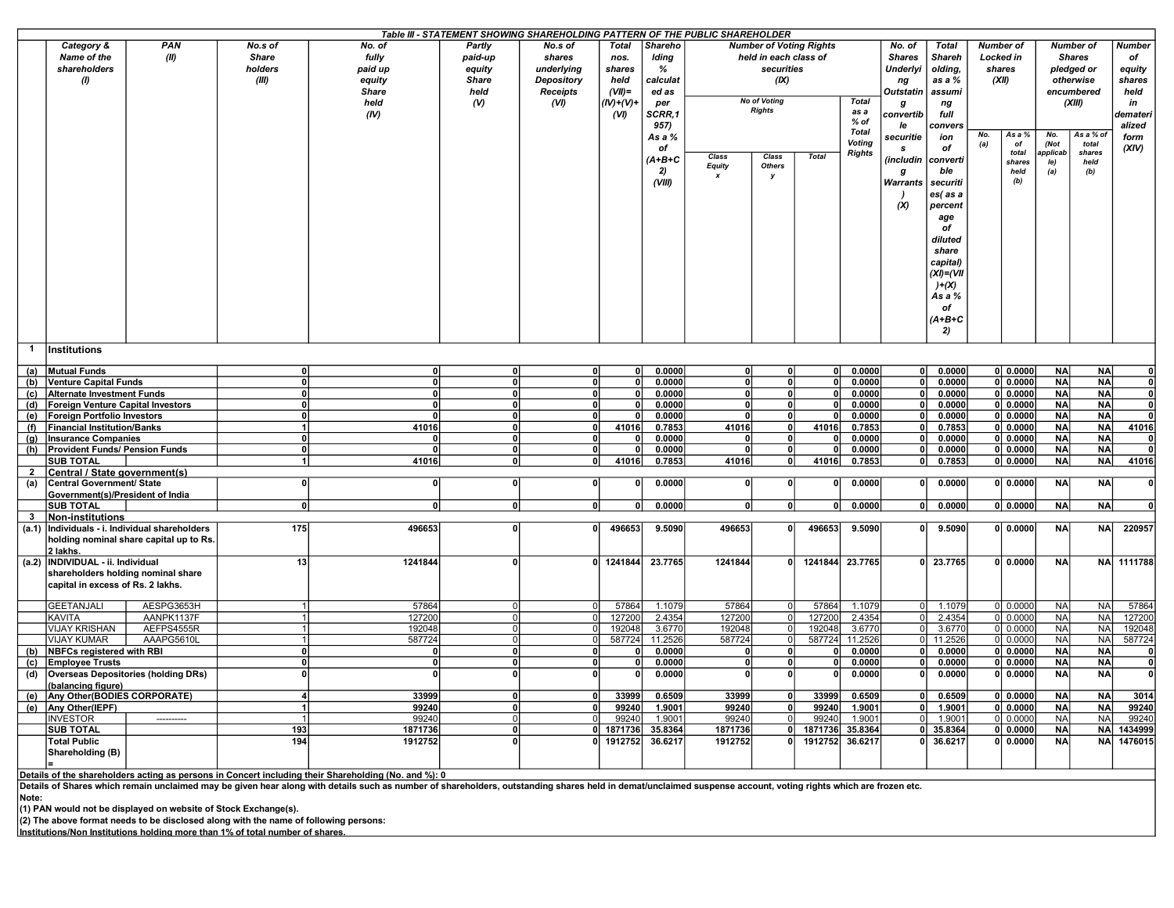|                |                                                            |                                            |              |              | Table III - STATEMENT SHOWING SHAREHOLDING PATTERN OF THE PUBLIC SHAREHOLDER |                   |              |          |                                      |                       |                                |                       |                 |                            |                  |                       |             |                  |                         |        |       |
|----------------|------------------------------------------------------------|--------------------------------------------|--------------|--------------|------------------------------------------------------------------------------|-------------------|--------------|----------|--------------------------------------|-----------------------|--------------------------------|-----------------------|-----------------|----------------------------|------------------|-----------------------|-------------|------------------|-------------------------|--------|-------|
|                | Category &                                                 | <b>PAN</b>                                 | No.s of      | No. of       | Partly                                                                       | No.s of           | Total        | Shareho  |                                      |                       | <b>Number of Voting Rights</b> |                       | No. of          | Total                      | <b>Number of</b> |                       |             | <b>Number of</b> | <b>Number</b>           |        |       |
|                | Name of the                                                | (II)                                       | <b>Share</b> | fully        | paid-up                                                                      | shares            | nos.         | Iding    |                                      | held in each class of |                                |                       | <b>Shares</b>   | <b>Shareh</b>              | Locked in        |                       |             | <b>Shares</b>    | of                      |        |       |
|                | shareholders                                               |                                            | holders      | paid up      | equity                                                                       | underlvina        | shares       | %        |                                      | securities            |                                |                       | <b>Underlyi</b> | olding,                    | shares           |                       |             | pledged or       | equity                  |        |       |
|                | $\boldsymbol{\theta}$                                      |                                            | (III)        | equity       | <b>Share</b>                                                                 | <b>Depository</b> | held         | calculat |                                      | (IX)                  |                                |                       | ng              | as a %                     | (XII)            |                       |             | otherwise        | shares                  |        |       |
|                |                                                            |                                            |              | <b>Share</b> | held                                                                         | Receipts          | $(VII)$ =    | ed as    |                                      |                       |                                |                       |                 | <b>Outstatin</b><br>assumi |                  |                       |             | encumbered       | held                    |        |       |
|                |                                                            |                                            |              | held         | (V)                                                                          | (VI)              | $(IV)+(V)+$  | per      | <b>No of Voting</b><br><b>Rights</b> |                       | <b>Total</b>                   | g                     | ng              |                            |                  |                       | (XIII)      | in               |                         |        |       |
|                |                                                            |                                            |              | (IV)         |                                                                              |                   | (VI)         | SCRR,1   |                                      |                       |                                | as a<br>% of          | convertib       | full                       |                  |                       |             |                  | demateri                |        |       |
|                |                                                            |                                            |              |              |                                                                              |                   |              | 957)     |                                      |                       |                                | Total                 | le              | convers                    | No.              |                       |             | As a % of        | alized                  |        |       |
|                |                                                            |                                            |              |              |                                                                              |                   |              | As a %   |                                      |                       |                                | <b>Voting</b>         | securitie       | ion                        | (a)              | As a %<br>of          | No.<br>(Not | total            | form                    |        |       |
|                |                                                            |                                            |              |              |                                                                              |                   |              | of       |                                      |                       |                                | <b>Class</b><br>Class |                 | <b>Rights</b>              | -S               | of                    |             | total            | pplicab                 | shares | (XIV) |
|                |                                                            |                                            |              |              |                                                                              |                   |              | $(A+B+C$ | <b>Equity</b>                        | <b>Others</b>         | <b>Total</b>                   |                       | (includin       | converti                   |                  | shares                | le)         | held             |                         |        |       |
|                |                                                            |                                            |              |              |                                                                              |                   |              | 2)       |                                      | v                     |                                |                       | g               | ble                        |                  | held                  | (a)         | (b)              |                         |        |       |
|                |                                                            |                                            |              |              |                                                                              |                   |              | (VIII)   |                                      |                       |                                |                       | Warrants        | securiti                   |                  | (b)                   |             |                  |                         |        |       |
|                |                                                            |                                            |              |              |                                                                              |                   |              |          |                                      |                       |                                |                       |                 | es(as a                    |                  |                       |             |                  |                         |        |       |
|                |                                                            |                                            |              |              |                                                                              |                   |              |          |                                      |                       |                                |                       | (X)             | percent                    |                  |                       |             |                  |                         |        |       |
|                |                                                            |                                            |              |              |                                                                              |                   |              |          |                                      |                       |                                |                       |                 | age                        |                  |                       |             |                  |                         |        |       |
|                |                                                            |                                            |              |              |                                                                              |                   |              |          |                                      |                       |                                |                       |                 | of                         |                  |                       |             |                  |                         |        |       |
|                |                                                            |                                            |              |              |                                                                              |                   |              |          |                                      |                       |                                |                       |                 | diluted                    |                  |                       |             |                  |                         |        |       |
|                |                                                            |                                            |              |              |                                                                              |                   |              |          |                                      |                       |                                |                       |                 | share                      |                  |                       |             |                  |                         |        |       |
|                |                                                            |                                            |              |              |                                                                              |                   |              |          |                                      |                       |                                |                       |                 | capital)                   |                  |                       |             |                  |                         |        |       |
|                |                                                            |                                            |              |              |                                                                              |                   |              |          |                                      |                       |                                |                       |                 | $(XI) = (VII)$             |                  |                       |             |                  |                         |        |       |
|                |                                                            |                                            |              |              |                                                                              |                   |              |          |                                      |                       |                                |                       |                 | $)+(X)$                    |                  |                       |             |                  |                         |        |       |
|                |                                                            |                                            |              |              |                                                                              |                   |              |          |                                      |                       |                                |                       |                 | As a %                     |                  |                       |             |                  |                         |        |       |
|                |                                                            |                                            |              |              |                                                                              |                   |              |          |                                      |                       |                                |                       |                 | of<br>$(A+B+C$             |                  |                       |             |                  |                         |        |       |
|                |                                                            |                                            |              |              |                                                                              |                   |              |          |                                      |                       |                                |                       |                 |                            |                  |                       |             |                  |                         |        |       |
|                |                                                            |                                            |              |              |                                                                              |                   |              |          |                                      |                       |                                |                       |                 | 2)                         |                  |                       |             |                  |                         |        |       |
| $\mathbf{1}$   | Institutions                                               |                                            |              |              |                                                                              |                   |              |          |                                      |                       |                                |                       |                 |                            |                  |                       |             |                  |                         |        |       |
|                | (a) Mutual Funds                                           |                                            | $\Omega$     | 0            | 0                                                                            | ΩI                | οl           | 0.0000   | ΩI                                   | $\mathbf{0}$          | $\mathbf{0}$                   | 0.0000                | οl              | 0.0000                     |                  | 0 <sub>1</sub> 0.0000 | <b>NA</b>   | <b>NA</b>        | 0                       |        |       |
|                | (b) Venture Capital Funds                                  |                                            | $\Omega$     | 0            | 0                                                                            | οI                | 0            | 0.0000   | ΩI                                   | $\Omega$              | $\Omega$                       | 0.0000                | 0l              | 0.0000                     |                  | 0 0.0000              | <b>NA</b>   | <b>NA</b>        | $\mathbf{0}$            |        |       |
|                | (c) Alternate Investment Funds                             |                                            | $\Omega$     | 0            | 0                                                                            | οl                | 0            | 0.0000   | οl                                   | 0                     | $\Omega$                       | 0.0000                | n١              | 0.0000                     |                  | 0 0.0000              | <b>NA</b>   | <b>NA</b>        | $\mathbf{0}$            |        |       |
| (d)            | Foreign Venture Capital Investors                          |                                            | $\Omega$     | $\Omega$     | $\mathbf{0}$                                                                 | $\Omega$          | $\Omega$     | 0.0000   | ΩI                                   | $\Omega$              |                                | 0.0000                |                 | 0.0000                     |                  | 0 0.0000              | <b>NA</b>   | <b>NA</b>        | $\overline{\mathbf{0}}$ |        |       |
| (e)            | Foreign Portfolio Investors                                |                                            | $\Omega$     |              | ٥l                                                                           | οl                | $\Omega$     | 0.0000   |                                      | 0                     |                                | 0.0000                |                 | 0.0000                     |                  | 0 0.0000              | <b>NA</b>   | <b>NA</b>        | 0                       |        |       |
| (f)            | <b>Financial Institution/Banks</b>                         |                                            |              | 41016        | 0                                                                            | 0                 | 41016        | 0.7853   | 41016                                | 0                     | 41016                          | 0.7853                |                 | 0.7853                     |                  | 0 0.0000              | <b>NA</b>   | <b>NA</b>        | 41016                   |        |       |
| (g)            | <b>Insurance Companies</b>                                 |                                            | $\Omega$     | $\Omega$     | 0                                                                            | 0                 | $\Omega$     | 0.0000   |                                      | $\mathbf{0}$          |                                | 0.0000                | n١              | 0.0000                     |                  | 0 0.0000              | <b>NA</b>   | <b>NA</b>        | $\mathbf{0}$            |        |       |
| (h)            | <b>Provident Funds/ Pension Funds</b>                      |                                            | $\Omega$     | $\mathbf{r}$ | 0                                                                            | 0                 | $\Omega$     | 0.0000   |                                      | $\overline{0}$        |                                | 0.0000                | ΩI              | 0.0000                     |                  | 0 0.0000              | <b>NA</b>   | <b>NA</b>        | $\bullet$               |        |       |
| $\overline{2}$ | <b>SUB TOTAL</b>                                           |                                            | 1            | 41016        | 0                                                                            | 0                 | 41016        | 0.7853   | 41016                                | 0                     | 41016                          | 0.7853                | 0               | 0.7853                     |                  | 0 0.0000              | <b>NA</b>   | <b>NA</b>        | 41016                   |        |       |
|                | Central / State government(s)<br>Central Government/ State |                                            | n            | 0            | 0                                                                            | $\mathbf{0}$      | $\Omega$     | 0.0000   | 0                                    | $\Omega$              |                                | 0.0000                | 0l              | 0.0000                     |                  | 0 0.0000              | <b>NA</b>   | <b>NA</b>        | $\mathbf{0}$            |        |       |
| (a)            | Government(s)/President of India                           |                                            |              |              |                                                                              |                   |              |          |                                      |                       |                                |                       |                 |                            |                  |                       |             |                  |                         |        |       |
|                | <b>SUB TOTAL</b>                                           |                                            | 0            | 0            | 0                                                                            | 0                 | $\mathbf{0}$ | 0.0000   | 0                                    |                       | $\mathbf{0}$                   | 0.0000                | 0 I             | 0.0000                     |                  | 0 0.0000              | <b>NA</b>   | <b>NA</b>        | $\mathbf{0}$            |        |       |
| - 3            | <b>Non-institutions</b>                                    |                                            |              |              |                                                                              |                   |              |          |                                      |                       |                                |                       |                 |                            |                  |                       |             |                  |                         |        |       |
| (a.1)          |                                                            | Individuals - i. Individual shareholders   | 175          | 496653       | 0                                                                            | 0                 | 496653       | 9.5090   | 496653                               |                       | 496653                         | 9.5090                |                 | οl<br>9.5090               |                  | 0 0.0000              | NA          | <b>NA</b>        | 220957                  |        |       |
|                |                                                            | holding nominal share capital up to Rs.    |              |              |                                                                              |                   |              |          |                                      |                       |                                |                       |                 |                            |                  |                       |             |                  |                         |        |       |
|                | 2 lakhs.                                                   |                                            |              |              |                                                                              |                   |              |          |                                      |                       |                                |                       |                 |                            |                  |                       |             |                  |                         |        |       |
|                | (a.2)  INDIVIDUAL - ii. Individual                         |                                            | 13           | 1241844      | 0                                                                            |                   | 0 1241844    | 23.7765  | 1241844                              | $\Omega$              | 1241844                        | 23.7765               |                 | 0 23.7765                  |                  | 0   0.0000            | <b>NA</b>   |                  | NA 1111788              |        |       |
|                | shareholders holding nominal share                         |                                            |              |              |                                                                              |                   |              |          |                                      |                       |                                |                       |                 |                            |                  |                       |             |                  |                         |        |       |
|                | capital in excess of Rs. 2 lakhs.                          |                                            |              |              |                                                                              |                   |              |          |                                      |                       |                                |                       |                 |                            |                  |                       |             |                  |                         |        |       |
|                | <b>GEETANJALI</b>                                          | AESPG3653H                                 |              | 57864        | 0l                                                                           | $\Omega$          | 57864        | 1.1079   | 57864                                | $\Omega$              | 57864                          | 1.1079                | $\Omega$        | 1.1079                     |                  | 0 0.0000              | <b>NA</b>   | <b>NA</b>        | 57864                   |        |       |
|                | <b>KAVITA</b>                                              | AANPK1137F                                 |              | 127200       | $\Omega$                                                                     |                   | 127200       | 2.4354   | 127200                               | $\overline{0}$        | 127200                         | 2.4354                | 0I              | 2.4354                     |                  | $0$ 0.0000            | <b>NA</b>   | <b>NA</b>        | 127200                  |        |       |
|                | <b>VIJAY KRISHAN</b>                                       | AEFPS4555R                                 |              | 192048       | 0l                                                                           | $\Omega$          | 192048       | 3.6770   | 192048                               | $\overline{0}$        | 192048                         | 3.6770                |                 | 3.6770                     |                  | 0 0.0000              | <b>NA</b>   | <b>NA</b>        | 192048                  |        |       |
|                | <b>VIJAY KUMAR</b>                                         | AAAPG5610L                                 |              | 587724       | 0l                                                                           | $\overline{0}$    | 587724       | 11.2526  | 587724                               | $\Omega$              | 587724                         | 11.2526               | $\Omega$        | 11.2526                    |                  | 0 0.0000              | <b>NA</b>   | <b>NA</b>        | 587724                  |        |       |
| (b)            | <b>NBFCs registered with RBI</b>                           |                                            | $\Omega$     | $\Omega$     | 0                                                                            | $\Omega$          |              | 0.0000   |                                      | $\Omega$              |                                | 0.0000                |                 | 0.0000                     |                  | 0   0.0000            | <b>NA</b>   | <b>NA</b>        | $\mathbf{0}$            |        |       |
| (c)            | <b>Emplovee Trusts</b>                                     |                                            | $\Omega$     | $\Omega$     | 0                                                                            | οl                | $\Omega$     | 0.0000   |                                      | $\Omega$              |                                | 0.0000                |                 | 0.0000                     |                  | 0 <sub>1</sub> 0.0000 | <b>NA</b>   | <b>NA</b>        | $\mathbf{0}$            |        |       |
| (d)            |                                                            | <b>Overseas Depositories (holding DRs)</b> | O            | $\Omega$     | 0                                                                            | $\Omega$          | $\Omega$     | 0.0000   | n                                    | $\mathbf{0}$          |                                | 0.0000                |                 | 0.0000                     |                  | 0 0.0000              | <b>NA</b>   | <b>NA</b>        | $\mathbf{0}$            |        |       |
|                | (balancing figure)                                         |                                            |              |              |                                                                              |                   |              |          |                                      |                       |                                |                       |                 |                            |                  |                       |             |                  |                         |        |       |
| (e)            | Any Other(BODIES CORPORATE)                                |                                            |              | 33999        | $\mathbf{0}$                                                                 |                   | 33999        | 0.6509   | 33999                                |                       | 33999                          | 0.6509                | n.              | 0.6509                     |                  | 0 0.0000              | <b>NA</b>   | <b>NA</b>        | 3014                    |        |       |
|                | (e) Any Other(IEPF)                                        |                                            |              | 99240        | ٥l                                                                           | οl                | 99240        | 1.9001   | 99240                                | $\mathbf{0}$          | 99240                          | 1.9001                | ΩI              | 1.9001                     |                  | 0   0.0000            | <b>NA</b>   | <b>NA</b>        | 99240                   |        |       |
|                | <b>INVESTOR</b>                                            | ----------                                 |              | 99240        | 0                                                                            | <sup>0</sup>      | 99240        | 1.9001   | 99240                                | $\mathbf 0$           | 99240                          | 1.9001                | $\cap$          | 1.9001                     |                  | 0   0.0000            | <b>NA</b>   | <b>NA</b>        | 99240                   |        |       |
|                | <b>SUB TOTAL</b>                                           |                                            | 193          | 1871736      | 0 <br>$\mathbf{0}$                                                           |                   | 0 1871736    | 35.8364  | 1871736                              | $\Omega$              | 1871736                        | 35.8364               | n١<br>ΩI        | 35.8364                    |                  | 0   0.0000            | <b>NA</b>   | <b>NA</b>        | 1434999                 |        |       |
|                | <b>Total Public</b>                                        |                                            | 194          | 1912752      |                                                                              |                   | 0 1912752    | 36.6217  | 1912752                              |                       | 1912752                        | 36.6217               |                 | 36.6217                    |                  | 0 0.0000              | <b>NA</b>   | <b>NA</b>        | 1476015                 |        |       |
|                | Shareholding (B)                                           |                                            |              |              |                                                                              |                   |              |          |                                      |                       |                                |                       |                 |                            |                  |                       |             |                  |                         |        |       |
|                |                                                            |                                            |              |              |                                                                              |                   |              |          |                                      |                       |                                |                       |                 |                            |                  |                       |             |                  |                         |        |       |

Details of the shareholders acting as persons in Concert including their Shareholding (No. and %): 0<br>Details of Shares which remain unclaimed may be given hear along with details such as number of shareholders, outstanding Note:

(1) PAN would not be displayed on website of Stock Exchange(s). (2) The above format needs to be disclosed along with the name of following persons:

Institutions/Non Institutions holding more than 1% of total number of shares.